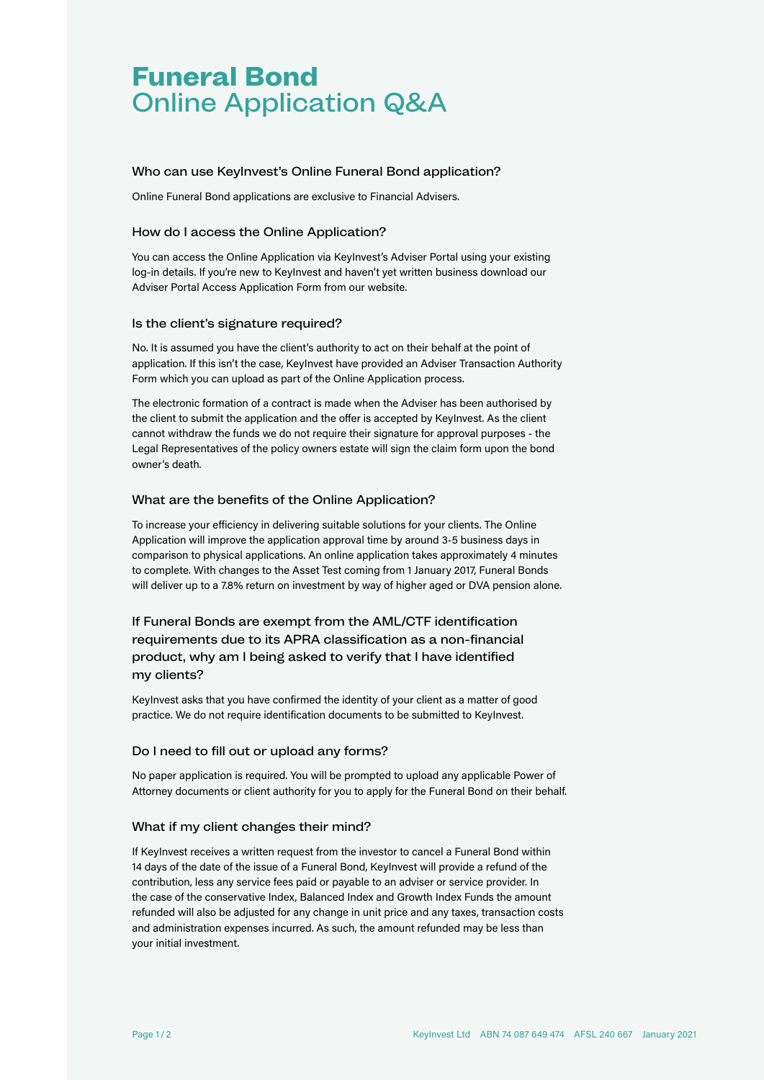# **Funeral Bond** Online Application Q&A

## Who can use KeyInvest's Online Funeral Bond application?

Online Funeral Bond applications are exclusive to Financial Advisers.

## How do I access the Online Application?

You can access the Online Application via KeyInvest's Adviser Portal using your existing log-in details. If you're new to KeyInvest and haven't yet written business download our Adviser Portal Access Application Form from our website.

#### Is the client's signature required?

No. It is assumed you have the client's authority to act on their behalf at the point of application. If this isn't the case, KeyInvest have provided an Adviser Transaction Authority Form which you can upload as part of the Online Application process.

The electronic formation of a contract is made when the Adviser has been authorised by the client to submit the application and the offer is accepted by KeyInvest. As the client cannot withdraw the funds we do not require their signature for approval purposes - the Legal Representatives of the policy owners estate will sign the claim form upon the bond owner's death.

# What are the benefits of the Online Application?

To increase your efficiency in delivering suitable solutions for your clients. The Online Application will improve the application approval time by around 3-5 business days in comparison to physical applications. An online application takes approximately 4 minutes to complete. With changes to the Asset Test coming from 1 January 2017, Funeral Bonds will deliver up to a 7.8% return on investment by way of higher aged or DVA pension alone.

If Funeral Bonds are exempt from the AML/CTF identification requirements due to its APRA classification as a non-financial product, why am I being asked to verify that I have identified my clients?

KeyInvest asks that you have confirmed the identity of your client as a matter of good practice. We do not require identification documents to be submitted to KeyInvest.

# Do I need to fill out or upload any forms?

No paper application is required. You will be prompted to upload any applicable Power of Attorney documents or client authority for you to apply for the Funeral Bond on their behalf.

# What if my client changes their mind?

If KeyInvest receives a written request from the investor to cancel a Funeral Bond within 14 days of the date of the issue of a Funeral Bond, KeyInvest will provide a refund of the contribution, less any service fees paid or payable to an adviser or service provider. In the case of the conservative Index, Balanced Index and Growth Index Funds the amount refunded will also be adjusted for any change in unit price and any taxes, transaction costs and administration expenses incurred. As such, the amount refunded may be less than your initial investment.